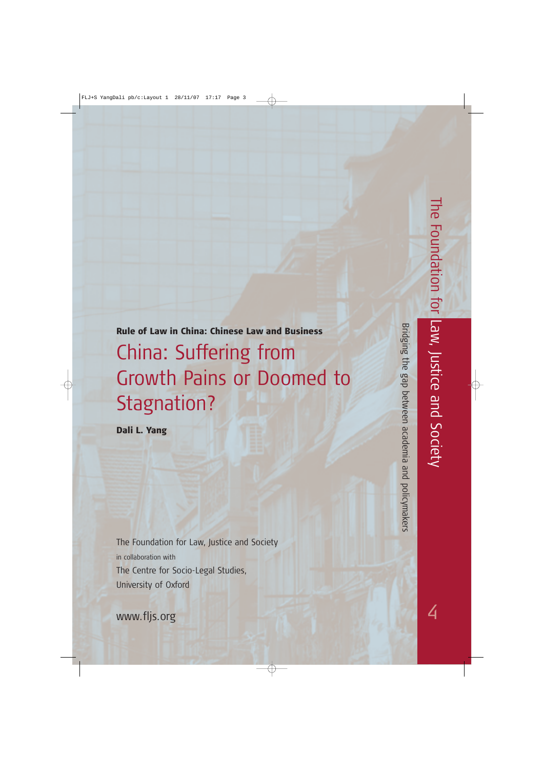Bridging the gap between academia and policymakers

Bridging the gap between academia and policymakers

# Rule of Law in China: Chinese Law and Business China: Suffering from Growth Pains or Doomed to Stagnation?

Dali L. Yang

The Foundation for Law, Justice and Society in collaboration with The Centre for Socio-Legal Studies, University of Oxford

www.fljs.org

4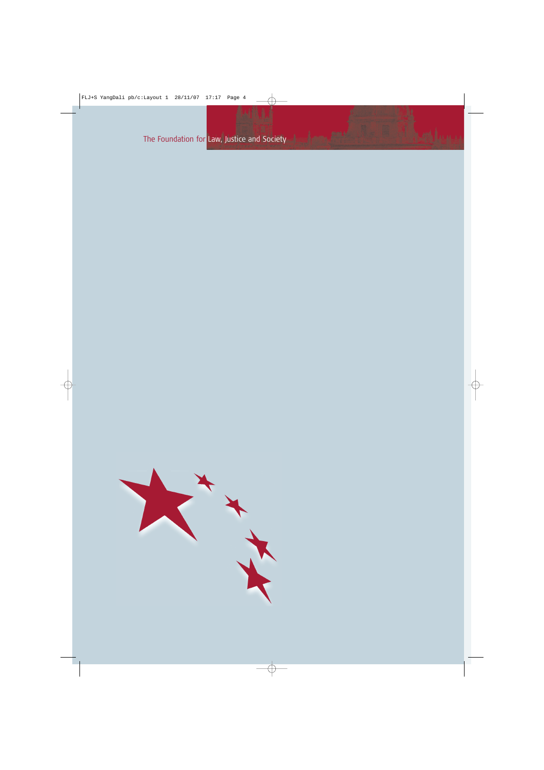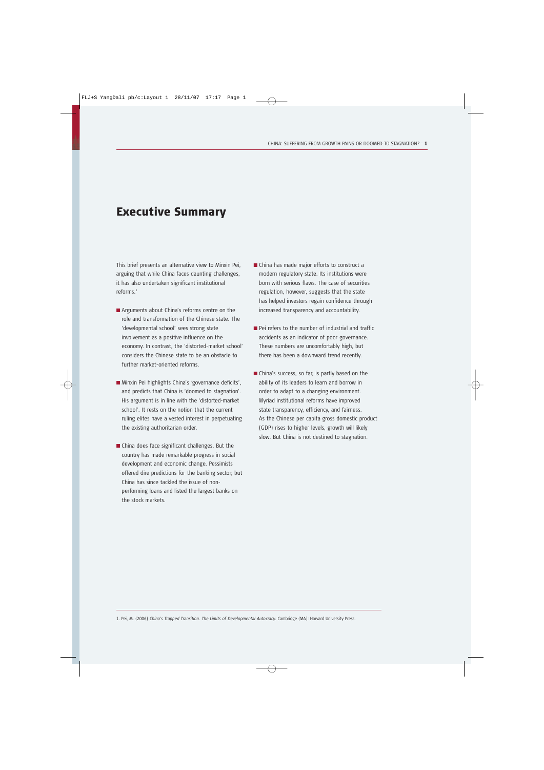## Executive Summary

This brief presents an alternative view to Minxin Pei, arguing that while China faces daunting challenges, it has also undertaken significant institutional reforms. $1$ 

- Arguments about China's reforms centre on the role and transformation of the Chinese state. The 'developmental school' sees strong state involvement as a positive influence on the economy. In contrast, the 'distorted-market school' considers the Chinese state to be an obstacle to further market-oriented reforms.
- Minxin Pei highlights China's 'governance deficits', and predicts that China is 'doomed to stagnation'. His argument is in line with the 'distorted-market school'. It rests on the notion that the current ruling elites have a vested interest in perpetuating the existing authoritarian order.
- China does face significant challenges. But the country has made remarkable progress in social development and economic change. Pessimists offered dire predictions for the banking sector; but China has since tackled the issue of nonperforming loans and listed the largest banks on the stock markets.
- China has made major efforts to construct a modern regulatory state. Its institutions were born with serious flaws. The case of securities regulation, however, suggests that the state has helped investors regain confidence through increased transparency and accountability.
- Pei refers to the number of industrial and traffic accidents as an indicator of poor governance. These numbers are uncomfortably high, but there has been a downward trend recently.
- China's success, so far, is partly based on the ability of its leaders to learn and borrow in order to adapt to a changing environment. Myriad institutional reforms have improved state transparency, efficiency, and fairness. As the Chinese per capita gross domestic product (GDP) rises to higher levels, growth will likely slow. But China is not destined to stagnation.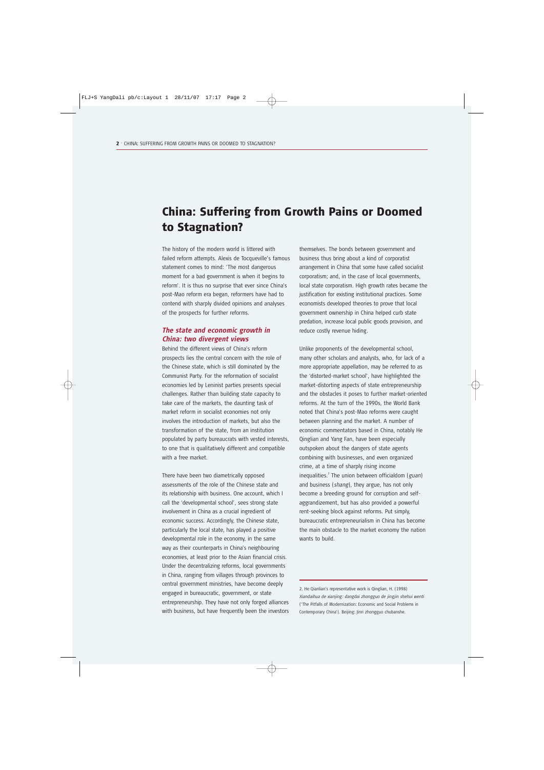## China: Suffering from Growth Pains or Doomed to Stagnation?

The history of the modern world is littered with failed reform attempts. Alexis de Tocqueville's famous statement comes to mind: 'The most dangerous moment for a bad government is when it begins to reform'. It is thus no surprise that ever since China's post-Mao reform era began, reformers have had to contend with sharply divided opinions and analyses of the prospects for further reforms.

### *The state and economic growth in China: two divergent views*

Behind the different views of China's reform prospects lies the central concern with the role of the Chinese state, which is still dominated by the Communist Party. For the reformation of socialist economies led by Leninist parties presents special challenges. Rather than building state capacity to take care of the markets, the daunting task of market reform in socialist economies not only involves the introduction of markets, but also the transformation of the state, from an institution populated by party bureaucrats with vested interests, to one that is qualitatively different and compatible with a free market.

There have been two diametrically opposed assessments of the role of the Chinese state and its relationship with business. One account, which I call the 'developmental school', sees strong state involvement in China as a crucial ingredient of economic success. Accordingly, the Chinese state, particularly the local state, has played a positive developmental role in the economy, in the same way as their counterparts in China's neighbouring economies, at least prior to the Asian financial crisis. Under the decentralizing reforms, local governments in China, ranging from villages through provinces to central government ministries, have become deeply engaged in bureaucratic, government, or state entrepreneurship. They have not only forged alliances with business, but have frequently been the investors

themselves. The bonds between government and business thus bring about a kind of corporatist arrangement in China that some have called socialist corporatism; and, in the case of local governments, local state corporatism. High growth rates became the justification for existing institutional practices. Some economists developed theories to prove that local government ownership in China helped curb state predation, increase local public goods provision, and reduce costly revenue hiding.

Unlike proponents of the developmental school, many other scholars and analysts, who, for lack of a more appropriate appellation, may be referred to as the 'distorted-market school', have highlighted the market-distorting aspects of state entrepreneurship and the obstacles it poses to further market-oriented reforms. At the turn of the 1990s, the World Bank noted that China's post-Mao reforms were caught between planning and the market. A number of economic commentators based in China, notably He Qinglian and Yang Fan, have been especially outspoken about the dangers of state agents combining with businesses, and even organized crime, at a time of sharply rising income inequalities.2 The union between officialdom (*guan*) and business (*shang*), they argue, has not only become a breeding ground for corruption and selfaggrandizement, but has also provided a powerful rent-seeking block against reforms. Put simply, bureaucratic entrepreneurialism in China has become the main obstacle to the market economy the nation wants to build.

2. He Qianlian's representative work is Qinglian, H. (1998) *Xiandaihua de xianjing: dangdai zhongguo de jingjin shehui wenti* ('The Pitfalls of Modernization: Economic and Social Problems in Contemporary China'). Beijing: Jinri zhongguo chubanshe.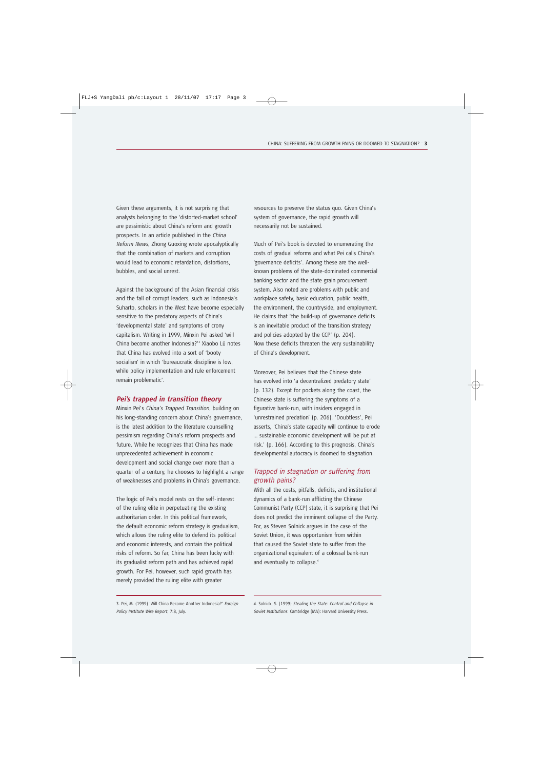Given these arguments, it is not surprising that analysts belonging to the 'distorted-market school' are pessimistic about China's reform and growth prospects. In an article published in the *China Reform News*, Zhong Guoxing wrote apocalyptically that the combination of markets and corruption would lead to economic retardation, distortions, bubbles, and social unrest.

Against the background of the Asian financial crisis and the fall of corrupt leaders, such as Indonesia's Suharto, scholars in the West have become especially sensitive to the predatory aspects of China's 'developmental state' and symptoms of crony capitalism. Writing in 1999, Minxin Pei asked 'will China become another Indonesia?'3 Xiaobo Lü notes that China has evolved into a sort of 'booty socialism' in which 'bureaucratic discipline is low, while policy implementation and rule enforcement remain problematic'.

#### *Pei's trapped in transition theory*

Minxin Pei's *China's Trapped Transition*, building on his long-standing concern about China's governance, is the latest addition to the literature counselling pessimism regarding China's reform prospects and future. While he recognizes that China has made unprecedented achievement in economic development and social change over more than a quarter of a century, he chooses to highlight a range of weaknesses and problems in China's governance.

The logic of Pei's model rests on the self-interest of the ruling elite in perpetuating the existing authoritarian order. In this political framework, the default economic reform strategy is gradualism, which allows the ruling elite to defend its political and economic interests, and contain the political risks of reform. So far, China has been lucky with its gradualist reform path and has achieved rapid growth. For Pei, however, such rapid growth has merely provided the ruling elite with greater

resources to preserve the status quo. Given China's system of governance, the rapid growth will necessarily not be sustained.

Much of Pei's book is devoted to enumerating the costs of gradual reforms and what Pei calls China's 'governance deficits'. Among these are the wellknown problems of the state-dominated commercial banking sector and the state grain procurement system. Also noted are problems with public and workplace safety, basic education, public health, the environment, the countryside, and employment. He claims that 'the build-up of governance deficits is an inevitable product of the transition strategy and policies adopted by the CCP' (p. 204). Now these deficits threaten the very sustainability of China's development.

Moreover, Pei believes that the Chinese state has evolved into 'a decentralized predatory state' (p. 132). Except for pockets along the coast, the Chinese state is suffering the symptoms of a figurative bank-run, with insiders engaged in 'unrestrained predation' (p. 206). 'Doubtless', Pei asserts, 'China's state capacity will continue to erode … sustainable economic development will be put at risk.' (p. 166). According to this prognosis, China's developmental autocracy is doomed to stagnation.

### *Trapped in stagnation or suffering from growth pains?*

With all the costs, pitfalls, deficits, and institutional dynamics of a bank-run afflicting the Chinese Communist Party (CCP) state, it is surprising that Pei does not predict the imminent collapse of the Party. For, as Steven Solnick argues in the case of the Soviet Union, it was opportunism from within that caused the Soviet state to suffer from the organizational equivalent of a colossal bank-run and eventually to collapse.<sup>4</sup>

4. Solnick, S. (1999) *Stealing the State: Control and Collapse in Soviet Institutions*. Cambridge (MA): Harvard University Press.

<sup>3.</sup> Pei, M. (1999) 'Will China Become Another Indonesia?' *Foreign Policy Institute Wire Report*, 7:8, July.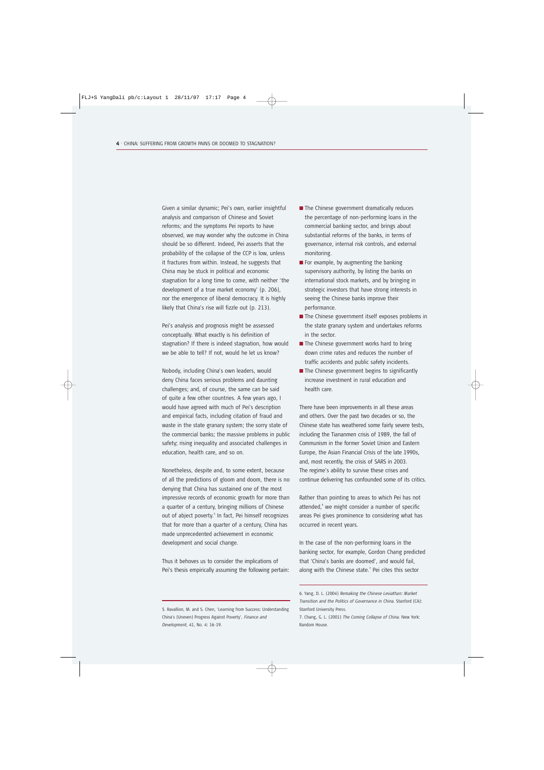Given a similar dynamic; Pei's own, earlier insightful analysis and comparison of Chinese and Soviet reforms; and the symptoms Pei reports to have observed, we may wonder why the outcome in China should be so different. Indeed, Pei asserts that the probability of the collapse of the CCP is low, unless it fractures from within. Instead, he suggests that China may be stuck in political and economic stagnation for a long time to come, with neither 'the development of a true market economy' (p. 206), nor the emergence of liberal democracy. It is highly likely that China's rise will fizzle out (p. 213).

Pei's analysis and prognosis might be assessed conceptually. What exactly is his definition of stagnation? If there is indeed stagnation, how would we be able to tell? If not, would he let us know?

Nobody, including China's own leaders, would deny China faces serious problems and daunting challenges; and, of course, the same can be said of quite a few other countries. A few years ago, I would have agreed with much of Pei's description and empirical facts, including citation of fraud and waste in the state granary system; the sorry state of the commercial banks; the massive problems in public safety; rising inequality and associated challenges in education, health care, and so on.

Nonetheless, despite and, to some extent, because of all the predictions of gloom and doom, there is no denying that China has sustained one of the most impressive records of economic growth for more than a quarter of a century, bringing millions of Chinese out of abject poverty.<sup>5</sup> In fact, Pei himself recognizes that for more than a quarter of a century, China has made unprecedented achievement in economic development and social change.

Thus it behoves us to consider the implications of Pei's thesis empirically assuming the following pertain:

- The Chinese government dramatically reduces the percentage of non-performing loans in the commercial banking sector, and brings about substantial reforms of the banks, in terms of governance, internal risk controls, and external monitoring.
- For example, by augmenting the banking supervisory authority, by listing the banks on international stock markets, and by bringing in strategic investors that have strong interests in seeing the Chinese banks improve their performance.
- The Chinese government itself exposes problems in the state granary system and undertakes reforms in the sector.
- The Chinese government works hard to bring down crime rates and reduces the number of traffic accidents and public safety incidents.
- The Chinese government begins to significantly increase investment in rural education and health care.

There have been improvements in all these areas and others. Over the past two decades or so, the Chinese state has weathered some fairly severe tests, including the Tiananmen crisis of 1989, the fall of Communism in the former Soviet Union and Eastern Europe, the Asian Financial Crisis of the late 1990s, and, most recently, the crisis of SARS in 2003. The regime's ability to survive these crises and continue delivering has confounded some of its critics.

Rather than pointing to areas to which Pei has not attended,<sup>6</sup> we might consider a number of specific areas Pei gives prominence to considering what has occurred in recent years.

In the case of the non-performing loans in the banking sector, for example, Gordon Chang predicted that 'China's banks are doomed', and would fail, along with the Chinese state. $<sup>7</sup>$  Pei cites this sector</sup>

<sup>5.</sup> Ravallion, M. and S. Chen, 'Learning from Success: Understanding China's (Uneven) Progress Against Poverty', *Finance and Development*, 41, No. 4: 16-19.

<sup>6.</sup> Yang, D. L. (2004) *Remaking the Chinese Leviathan: Market Transition and the Politics of Governance in China*. Stanford (CA): Stanford University Press.

<sup>7.</sup> Chang, G. L. (2001) *The Coming Collapse of China*. New York: Random House.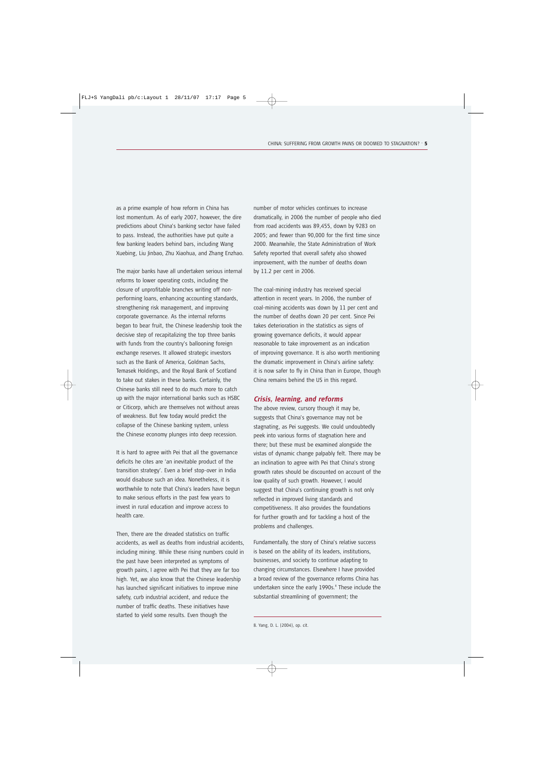as a prime example of how reform in China has lost momentum. As of early 2007, however, the dire predictions about China's banking sector have failed to pass. Instead, the authorities have put quite a few banking leaders behind bars, including Wang Xuebing, Liu Jinbao, Zhu Xiaohua, and Zhang Enzhao.

The major banks have all undertaken serious internal reforms to lower operating costs, including the closure of unprofitable branches writing off nonperforming loans, enhancing accounting standards, strengthening risk management, and improving corporate governance. As the internal reforms began to bear fruit, the Chinese leadership took the decisive step of recapitalizing the top three banks with funds from the country's ballooning foreign exchange reserves. It allowed strategic investors such as the Bank of America, Goldman Sachs, Temasek Holdings, and the Royal Bank of Scotland to take out stakes in these banks. Certainly, the Chinese banks still need to do much more to catch up with the major international banks such as HSBC or Citicorp, which are themselves not without areas of weakness. But few today would predict the collapse of the Chinese banking system, unless the Chinese economy plunges into deep recession.

It is hard to agree with Pei that all the governance deficits he cites are 'an inevitable product of the transition strategy'. Even a brief stop-over in India would disabuse such an idea. Nonetheless, it is worthwhile to note that China's leaders have begun to make serious efforts in the past few years to invest in rural education and improve access to health care.

Then, there are the dreaded statistics on traffic accidents, as well as deaths from industrial accidents, including mining. While these rising numbers could in the past have been interpreted as symptoms of growth pains, I agree with Pei that they are far too high. Yet, we also know that the Chinese leadership has launched significant initiatives to improve mine safety, curb industrial accident, and reduce the number of traffic deaths. These initiatives have started to yield some results. Even though the

number of motor vehicles continues to increase dramatically, in 2006 the number of people who died from road accidents was 89,455, down by 9283 on 2005; and fewer than 90,000 for the first time since 2000. Meanwhile, the State Administration of Work Safety reported that overall safety also showed improvement, with the number of deaths down by 11.2 per cent in 2006.

The coal-mining industry has received special attention in recent years. In 2006, the number of coal-mining accidents was down by 11 per cent and the number of deaths down 20 per cent. Since Pei takes deterioration in the statistics as signs of growing governance deficits, it would appear reasonable to take improvement as an indication of improving governance. It is also worth mentioning the dramatic improvement in China's airline safety: it is now safer to fly in China than in Europe, though China remains behind the US in this regard.

#### *Crisis, learning, and reforms*

The above review, cursory though it may be, suggests that China's governance may not be stagnating, as Pei suggests. We could undoubtedly peek into various forms of stagnation here and there; but these must be examined alongside the vistas of dynamic change palpably felt. There may be an inclination to agree with Pei that China's strong growth rates should be discounted on account of the low quality of such growth. However, I would suggest that China's continuing growth is not only reflected in improved living standards and competitiveness. It also provides the foundations for further growth and for tackling a host of the problems and challenges.

Fundamentally, the story of China's relative success is based on the ability of its leaders, institutions, businesses, and society to continue adapting to changing circumstances. Elsewhere I have provided a broad review of the governance reforms China has undertaken since the early 1990s.<sup>8</sup> These include the substantial streamlining of government; the

<sup>8.</sup> Yang, D. L. (2004), op. cit.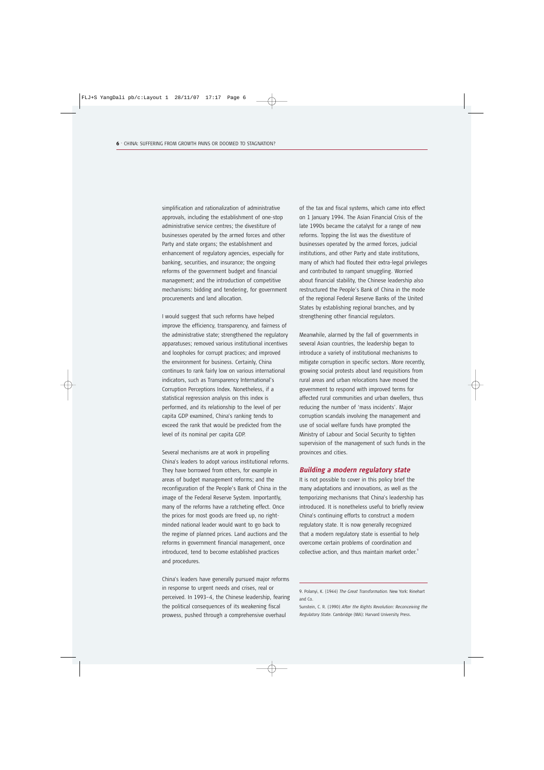simplification and rationalization of administrative approvals, including the establishment of one-stop administrative service centres; the divestiture of businesses operated by the armed forces and other Party and state organs; the establishment and enhancement of regulatory agencies, especially for banking, securities, and insurance; the ongoing reforms of the government budget and financial management; and the introduction of competitive mechanisms: bidding and tendering, for government procurements and land allocation.

I would suggest that such reforms have helped improve the efficiency, transparency, and fairness of the administrative state; strengthened the regulatory apparatuses; removed various institutional incentives and loopholes for corrupt practices; and improved the environment for business. Certainly, China continues to rank fairly low on various international indicators, such as Transparency International's Corruption Perceptions Index. Nonetheless, if a statistical regression analysis on this index is performed, and its relationship to the level of per capita GDP examined, China's ranking tends to exceed the rank that would be predicted from the level of its nominal per capita GDP.

Several mechanisms are at work in propelling China's leaders to adopt various institutional reforms. They have borrowed from others, for example in areas of budget management reforms; and the reconfiguration of the People's Bank of China in the image of the Federal Reserve System. Importantly, many of the reforms have a ratcheting effect. Once the prices for most goods are freed up, no rightminded national leader would want to go back to the regime of planned prices. Land auctions and the reforms in government financial management, once introduced, tend to become established practices and procedures.

China's leaders have generally pursued major reforms in response to urgent needs and crises, real or perceived. In 1993–4, the Chinese leadership, fearing the political consequences of its weakening fiscal prowess, pushed through a comprehensive overhaul

of the tax and fiscal systems, which came into effect on 1 January 1994. The Asian Financial Crisis of the late 1990s became the catalyst for a range of new reforms. Topping the list was the divestiture of businesses operated by the armed forces, judicial institutions, and other Party and state institutions, many of which had flouted their extra-legal privileges and contributed to rampant smuggling. Worried about financial stability, the Chinese leadership also restructured the People's Bank of China in the mode of the regional Federal Reserve Banks of the United States by establishing regional branches, and by strengthening other financial regulators.

Meanwhile, alarmed by the fall of governments in several Asian countries, the leadership began to introduce a variety of institutional mechanisms to mitigate corruption in specific sectors. More recently, growing social protests about land requisitions from rural areas and urban relocations have moved the government to respond with improved terms for affected rural communities and urban dwellers, thus reducing the number of 'mass incidents'. Major corruption scandals involving the management and use of social welfare funds have prompted the Ministry of Labour and Social Security to tighten supervision of the management of such funds in the provinces and cities.

#### *Building a modern regulatory state*

It is not possible to cover in this policy brief the many adaptations and innovations, as well as the temporizing mechanisms that China's leadership has introduced. It is nonetheless useful to briefly review China's continuing efforts to construct a modern regulatory state. It is now generally recognized that a modern regulatory state is essential to help overcome certain problems of coordination and collective action, and thus maintain market order.<sup>9</sup>

<sup>9.</sup> Polanyi, K. (1944) *The Great Transformation*. New York: Rinehart and Co.

Sunstein, C. R. (1990) *After the Rights Revolution: Reconceiving the Regulatory State*. Cambridge (MA): Harvard University Press.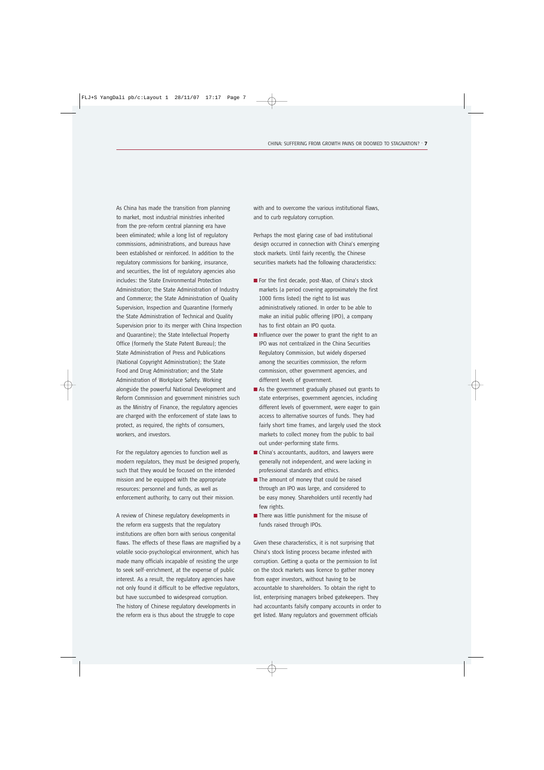As China has made the transition from planning to market, most industrial ministries inherited from the pre-reform central planning era have been eliminated; while a long list of regulatory commissions, administrations, and bureaus have been established or reinforced. In addition to the regulatory commissions for banking, insurance, and securities, the list of regulatory agencies also includes: the State Environmental Protection Administration; the State Administration of Industry and Commerce; the State Administration of Quality Supervision, Inspection and Quarantine (formerly the State Administration of Technical and Quality Supervision prior to its merger with China Inspection and Quarantine); the State Intellectual Property Office (formerly the State Patent Bureau); the State Administration of Press and Publications (National Copyright Administration); the State Food and Drug Administration; and the State Administration of Workplace Safety. Working alongside the powerful National Development and Reform Commission and government ministries such as the Ministry of Finance, the regulatory agencies are charged with the enforcement of state laws to protect, as required, the rights of consumers, workers, and investors.

For the regulatory agencies to function well as modern regulators, they must be designed properly, such that they would be focused on the intended mission and be equipped with the appropriate resources: personnel and funds, as well as enforcement authority, to carry out their mission.

A review of Chinese regulatory developments in the reform era suggests that the regulatory institutions are often born with serious congenital flaws. The effects of these flaws are magnified by a volatile socio-psychological environment, which has made many officials incapable of resisting the urge to seek self-enrichment, at the expense of public interest. As a result, the regulatory agencies have not only found it difficult to be effective regulators, but have succumbed to widespread corruption. The history of Chinese regulatory developments in the reform era is thus about the struggle to cope

with and to overcome the various institutional flaws, and to curb regulatory corruption.

Perhaps the most glaring case of bad institutional design occurred in connection with China's emerging stock markets. Until fairly recently, the Chinese securities markets had the following characteristics:

- For the first decade, post-Mao, of China's stock markets (a period covering approximately the first 1000 firms listed) the right to list was administratively rationed. In order to be able to make an initial public offering (IPO), a company has to first obtain an IPO quota.
- Influence over the power to grant the right to an IPO was not centralized in the China Securities Regulatory Commission, but widely dispersed among the securities commission, the reform commission, other government agencies, and different levels of government.
- As the government gradually phased out grants to state enterprises, government agencies, including different levels of government, were eager to gain access to alternative sources of funds. They had fairly short time frames, and largely used the stock markets to collect money from the public to bail out under-performing state firms.
- China's accountants, auditors, and lawyers were generally not independent, and were lacking in professional standards and ethics.
- The amount of money that could be raised through an IPO was large, and considered to be easy money. Shareholders until recently had few rights.
- There was little punishment for the misuse of funds raised through IPOs.

Given these characteristics, it is not surprising that China's stock listing process became infested with corruption. Getting a quota or the permission to list on the stock markets was licence to gather money from eager investors, without having to be accountable to shareholders. To obtain the right to list, enterprising managers bribed gatekeepers. They had accountants falsify company accounts in order to get listed. Many regulators and government officials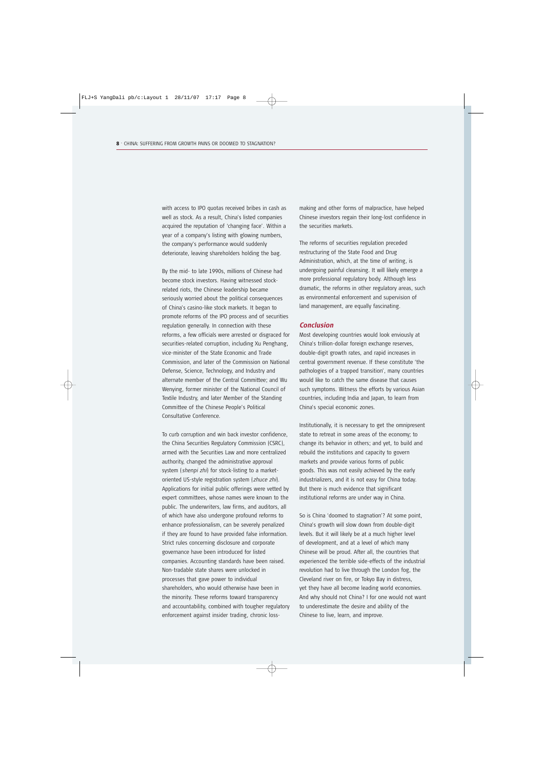with access to IPO quotas received bribes in cash as well as stock. As a result, China's listed companies acquired the reputation of 'changing face'. Within a year of a company's listing with glowing numbers, the company's performance would suddenly deteriorate, leaving shareholders holding the bag.

By the mid- to late 1990s, millions of Chinese had become stock investors. Having witnessed stockrelated riots, the Chinese leadership became seriously worried about the political consequences of China's casino-like stock markets. It began to promote reforms of the IPO process and of securities regulation generally. In connection with these reforms, a few officials were arrested or disgraced for securities-related corruption, including Xu Penghang, vice-minister of the State Economic and Trade Commission, and later of the Commission on National Defense, Science, Technology, and Industry and alternate member of the Central Committee; and Wu Wenying, former minister of the National Council of Textile Industry, and later Member of the Standing Committee of the Chinese People's Political Consultative Conference.

To curb corruption and win back investor confidence, the China Securities Regulatory Commission (CSRC), armed with the Securities Law and more centralized authority, changed the administrative approval system (*shenpi zhi*) for stock-listing to a marketoriented US-style registration system (*zhuce zhi*). Applications for initial public offerings were vetted by expert committees, whose names were known to the public. The underwriters, law firms, and auditors, all of which have also undergone profound reforms to enhance professionalism, can be severely penalized if they are found to have provided false information. Strict rules concerning disclosure and corporate governance have been introduced for listed companies. Accounting standards have been raised. Non-tradable state shares were unlocked in processes that gave power to individual shareholders, who would otherwise have been in the minority. These reforms toward transparency and accountability, combined with tougher regulatory enforcement against insider trading, chronic lossmaking and other forms of malpractice, have helped Chinese investors regain their long-lost confidence in the securities markets.

The reforms of securities regulation preceded restructuring of the State Food and Drug Administration, which, at the time of writing, is undergoing painful cleansing. It will likely emerge a more professional regulatory body. Although less dramatic, the reforms in other regulatory areas, such as environmental enforcement and supervision of land management, are equally fascinating.

#### *Conclusion*

Most developing countries would look enviously at China's trillion-dollar foreign exchange reserves, double-digit growth rates, and rapid increases in central government revenue. If these constitute 'the pathologies of a trapped transition', many countries would like to catch the same disease that causes such symptoms. Witness the efforts by various Asian countries, including India and Japan, to learn from China's special economic zones.

Institutionally, it is necessary to get the omnipresent state to retreat in some areas of the economy; to change its behavior in others; and yet, to build and rebuild the institutions and capacity to govern markets and provide various forms of public goods. This was not easily achieved by the early industrializers, and it is not easy for China today. But there is much evidence that significant institutional reforms are under way in China.

So is China 'doomed to stagnation'? At some point, China's growth will slow down from double-digit levels. But it will likely be at a much higher level of development, and at a level of which many Chinese will be proud. After all, the countries that experienced the terrible side-effects of the industrial revolution had to live through the London fog, the Cleveland river on fire, or Tokyo Bay in distress, yet they have all become leading world economies. And why should not China? I for one would not want to underestimate the desire and ability of the Chinese to live, learn, and improve.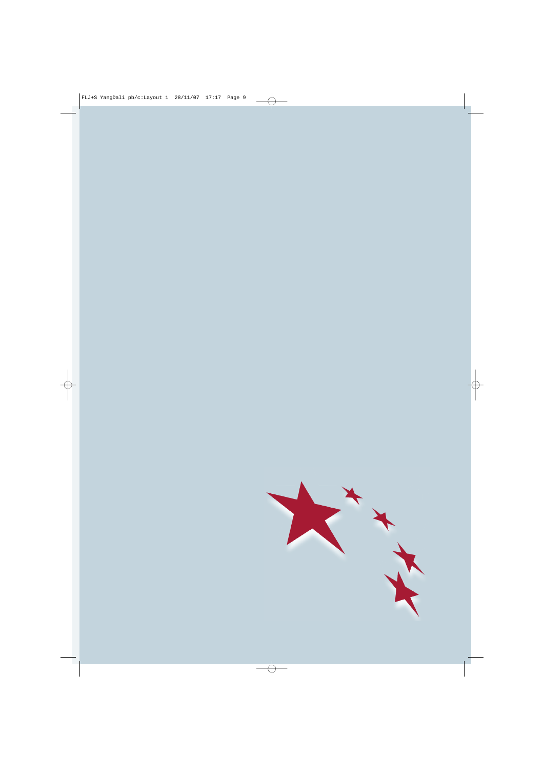